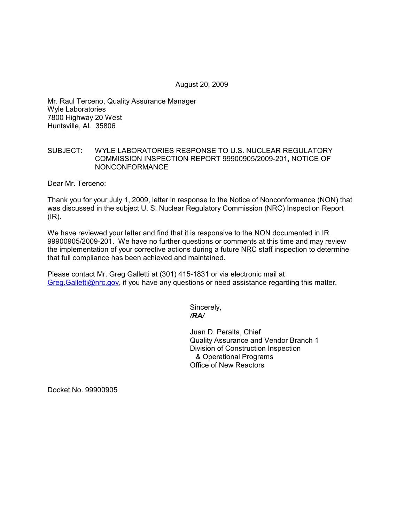August 20, 2009

Mr. Raul Terceno, Quality Assurance Manager Wyle Laboratories 7800 Highway 20 West Huntsville, AL 35806

## SUBJECT: WYLE LABORATORIES RESPONSE TO U.S. NUCLEAR REGULATORY COMMISSION INSPECTION REPORT 99900905/2009-201, NOTICE OF NONCONFORMANCE

Dear Mr. Terceno:

Thank you for your July 1, 2009, letter in response to the Notice of Nonconformance (NON) that was discussed in the subject U. S. Nuclear Regulatory Commission (NRC) Inspection Report  $(\mathsf{IR})$ .

We have reviewed your letter and find that it is responsive to the NON documented in IR 99900905/2009-201. We have no further questions or comments at this time and may review the implementation of your corrective actions during a future NRC staff inspection to determine that full compliance has been achieved and maintained.

Please contact Mr. Greg Galletti at (301) 415-1831 or via electronic mail at Greg.Galletti@nrc.gov, if you have any questions or need assistance regarding this matter.

Sincerely,  */RA/* 

> Juan D. Peralta, Chief Quality Assurance and Vendor Branch 1 Division of Construction Inspection & Operational Programs Office of New Reactors

Docket No. 99900905